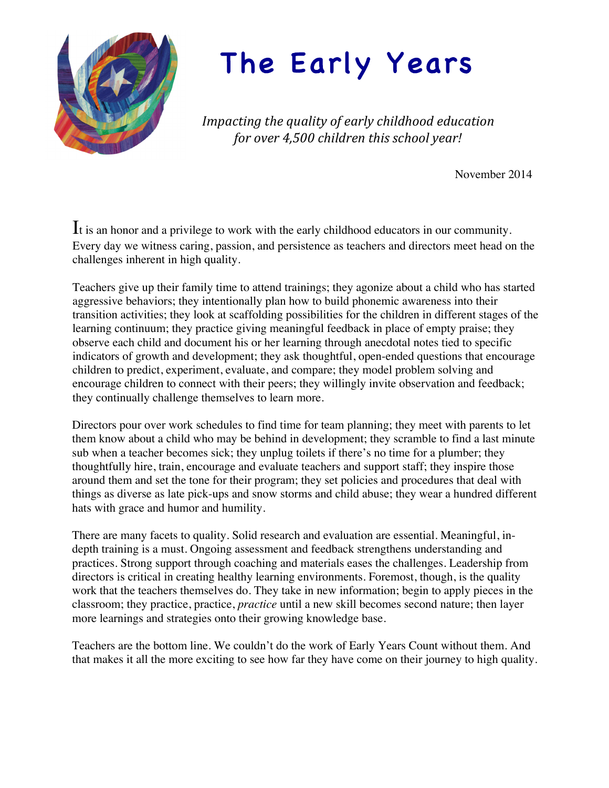

# The Early Years

Impacting the quality of early childhood education *for over 4,500 children this school year!* 

November 2014

It is an honor and a privilege to work with the early childhood educators in our community. Every day we witness caring, passion, and persistence as teachers and directors meet head on the challenges inherent in high quality.

Teachers give up their family time to attend trainings; they agonize about a child who has started aggressive behaviors; they intentionally plan how to build phonemic awareness into their transition activities; they look at scaffolding possibilities for the children in different stages of the learning continuum; they practice giving meaningful feedback in place of empty praise; they observe each child and document his or her learning through anecdotal notes tied to specific indicators of growth and development; they ask thoughtful, open-ended questions that encourage children to predict, experiment, evaluate, and compare; they model problem solving and encourage children to connect with their peers; they willingly invite observation and feedback; they continually challenge themselves to learn more.

Directors pour over work schedules to find time for team planning; they meet with parents to let them know about a child who may be behind in development; they scramble to find a last minute sub when a teacher becomes sick; they unplug toilets if there's no time for a plumber; they thoughtfully hire, train, encourage and evaluate teachers and support staff; they inspire those around them and set the tone for their program; they set policies and procedures that deal with things as diverse as late pick-ups and snow storms and child abuse; they wear a hundred different hats with grace and humor and humility.

There are many facets to quality. Solid research and evaluation are essential. Meaningful, indepth training is a must. Ongoing assessment and feedback strengthens understanding and practices. Strong support through coaching and materials eases the challenges. Leadership from directors is critical in creating healthy learning environments. Foremost, though, is the quality work that the teachers themselves do. They take in new information; begin to apply pieces in the classroom; they practice, practice, *practice* until a new skill becomes second nature; then layer more learnings and strategies onto their growing knowledge base.

Teachers are the bottom line. We couldn't do the work of Early Years Count without them. And that makes it all the more exciting to see how far they have come on their journey to high quality.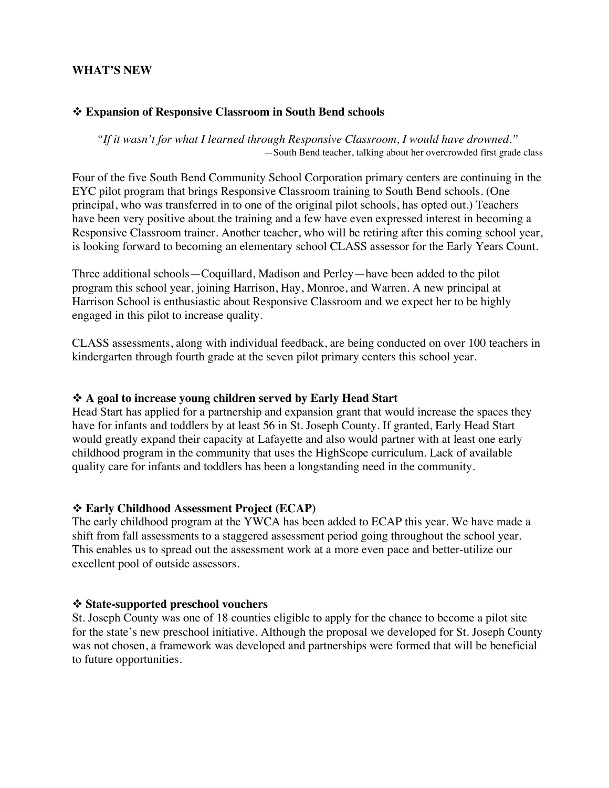#### **WHAT'S NEW**

#### ! **Expansion of Responsive Classroom in South Bend schools**

*"If it wasn't for what I learned through Responsive Classroom, I would have drowned."* —South Bend teacher, talking about her overcrowded first grade class

Four of the five South Bend Community School Corporation primary centers are continuing in the EYC pilot program that brings Responsive Classroom training to South Bend schools. (One principal, who was transferred in to one of the original pilot schools, has opted out.) Teachers have been very positive about the training and a few have even expressed interest in becoming a Responsive Classroom trainer. Another teacher, who will be retiring after this coming school year, is looking forward to becoming an elementary school CLASS assessor for the Early Years Count.

Three additional schools—Coquillard, Madison and Perley—have been added to the pilot program this school year, joining Harrison, Hay, Monroe, and Warren. A new principal at Harrison School is enthusiastic about Responsive Classroom and we expect her to be highly engaged in this pilot to increase quality.

CLASS assessments, along with individual feedback, are being conducted on over 100 teachers in kindergarten through fourth grade at the seven pilot primary centers this school year.

#### ! **A goal to increase young children served by Early Head Start**

Head Start has applied for a partnership and expansion grant that would increase the spaces they have for infants and toddlers by at least 56 in St. Joseph County. If granted, Early Head Start would greatly expand their capacity at Lafayette and also would partner with at least one early childhood program in the community that uses the HighScope curriculum. Lack of available quality care for infants and toddlers has been a longstanding need in the community.

#### ! **Early Childhood Assessment Project (ECAP)**

The early childhood program at the YWCA has been added to ECAP this year. We have made a shift from fall assessments to a staggered assessment period going throughout the school year. This enables us to spread out the assessment work at a more even pace and better-utilize our excellent pool of outside assessors.

#### ! **State-supported preschool vouchers**

St. Joseph County was one of 18 counties eligible to apply for the chance to become a pilot site for the state's new preschool initiative. Although the proposal we developed for St. Joseph County was not chosen, a framework was developed and partnerships were formed that will be beneficial to future opportunities.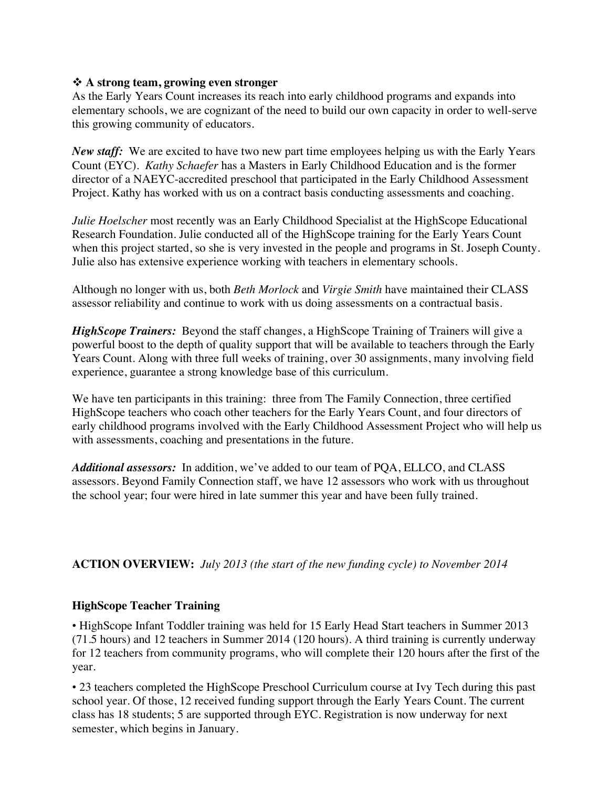# **☆** A strong team, growing even stronger

As the Early Years Count increases its reach into early childhood programs and expands into elementary schools, we are cognizant of the need to build our own capacity in order to well-serve this growing community of educators.

*New staff:* We are excited to have two new part time employees helping us with the Early Years Count (EYC). *Kathy Schaefer* has a Masters in Early Childhood Education and is the former director of a NAEYC-accredited preschool that participated in the Early Childhood Assessment Project. Kathy has worked with us on a contract basis conducting assessments and coaching.

*Julie Hoelscher* most recently was an Early Childhood Specialist at the HighScope Educational Research Foundation. Julie conducted all of the HighScope training for the Early Years Count when this project started, so she is very invested in the people and programs in St. Joseph County. Julie also has extensive experience working with teachers in elementary schools.

Although no longer with us, both *Beth Morlock* and *Virgie Smith* have maintained their CLASS assessor reliability and continue to work with us doing assessments on a contractual basis.

*HighScope Trainers:* Beyond the staff changes, a HighScope Training of Trainers will give a powerful boost to the depth of quality support that will be available to teachers through the Early Years Count. Along with three full weeks of training, over 30 assignments, many involving field experience, guarantee a strong knowledge base of this curriculum.

We have ten participants in this training: three from The Family Connection, three certified HighScope teachers who coach other teachers for the Early Years Count, and four directors of early childhood programs involved with the Early Childhood Assessment Project who will help us with assessments, coaching and presentations in the future.

*Additional assessors:* In addition, we've added to our team of PQA, ELLCO, and CLASS assessors. Beyond Family Connection staff, we have 12 assessors who work with us throughout the school year; four were hired in late summer this year and have been fully trained.

**ACTION OVERVIEW:** *July 2013 (the start of the new funding cycle) to November 2014*

# **HighScope Teacher Training**

• HighScope Infant Toddler training was held for 15 Early Head Start teachers in Summer 2013 (71.5 hours) and 12 teachers in Summer 2014 (120 hours). A third training is currently underway for 12 teachers from community programs, who will complete their 120 hours after the first of the year.

• 23 teachers completed the HighScope Preschool Curriculum course at Ivy Tech during this past school year. Of those, 12 received funding support through the Early Years Count. The current class has 18 students; 5 are supported through EYC. Registration is now underway for next semester, which begins in January.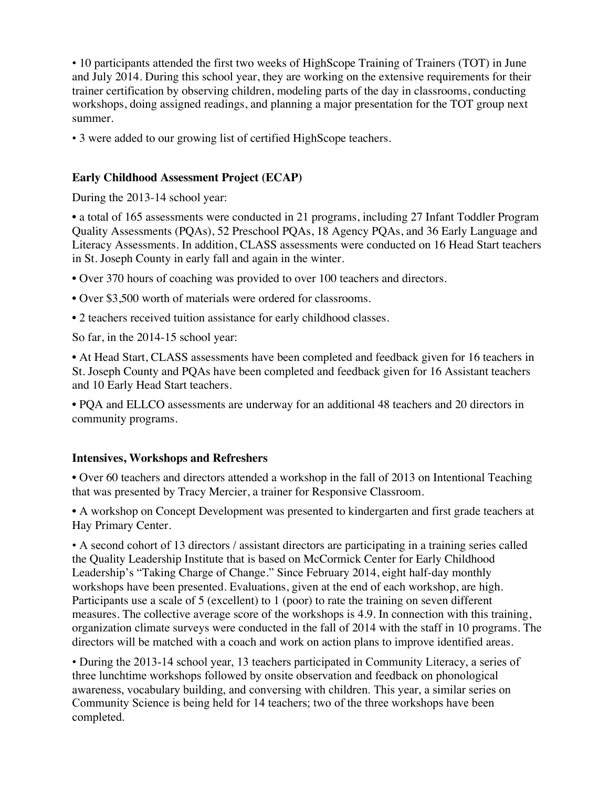• 10 participants attended the first two weeks of HighScope Training of Trainers (TOT) in June and July 2014. During this school year, they are working on the extensive requirements for their trainer certification by observing children, modeling parts of the day in classrooms, conducting workshops, doing assigned readings, and planning a major presentation for the TOT group next summer.

• 3 were added to our growing list of certified HighScope teachers.

# **Early Childhood Assessment Project (ECAP)**

During the 2013-14 school year:

• a total of 165 assessments were conducted in 21 programs, including 27 Infant Toddler Program Quality Assessments (PQAs), 52 Preschool PQAs, 18 Agency PQAs, and 36 Early Language and Literacy Assessments. In addition, CLASS assessments were conducted on 16 Head Start teachers in St. Joseph County in early fall and again in the winter.

• Over 370 hours of coaching was provided to over 100 teachers and directors.

- Over \$3,500 worth of materials were ordered for classrooms.
- 2 teachers received tuition assistance for early childhood classes.

So far, in the 2014-15 school year:

• At Head Start, CLASS assessments have been completed and feedback given for 16 teachers in St. Joseph County and PQAs have been completed and feedback given for 16 Assistant teachers and 10 Early Head Start teachers.

• PQA and ELLCO assessments are underway for an additional 48 teachers and 20 directors in community programs.

## **Intensives, Workshops and Refreshers**

• Over 60 teachers and directors attended a workshop in the fall of 2013 on Intentional Teaching that was presented by Tracy Mercier, a trainer for Responsive Classroom.

• A workshop on Concept Development was presented to kindergarten and first grade teachers at Hay Primary Center.

• A second cohort of 13 directors / assistant directors are participating in a training series called the Quality Leadership Institute that is based on McCormick Center for Early Childhood Leadership's "Taking Charge of Change." Since February 2014, eight half-day monthly workshops have been presented. Evaluations, given at the end of each workshop, are high. Participants use a scale of 5 (excellent) to 1 (poor) to rate the training on seven different measures. The collective average score of the workshops is 4.9. In connection with this training, organization climate surveys were conducted in the fall of 2014 with the staff in 10 programs. The directors will be matched with a coach and work on action plans to improve identified areas.

• During the 2013-14 school year, 13 teachers participated in Community Literacy, a series of three lunchtime workshops followed by onsite observation and feedback on phonological awareness, vocabulary building, and conversing with children. This year, a similar series on Community Science is being held for 14 teachers; two of the three workshops have been completed.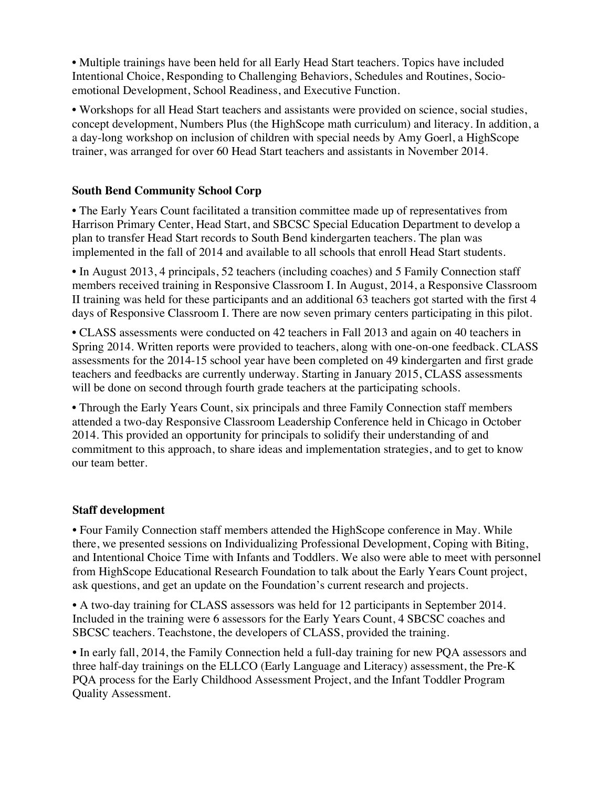• Multiple trainings have been held for all Early Head Start teachers. Topics have included Intentional Choice, Responding to Challenging Behaviors, Schedules and Routines, Socioemotional Development, School Readiness, and Executive Function.

• Workshops for all Head Start teachers and assistants were provided on science, social studies, concept development, Numbers Plus (the HighScope math curriculum) and literacy. In addition, a a day-long workshop on inclusion of children with special needs by Amy Goerl, a HighScope trainer, was arranged for over 60 Head Start teachers and assistants in November 2014.

# **South Bend Community School Corp**

• The Early Years Count facilitated a transition committee made up of representatives from Harrison Primary Center, Head Start, and SBCSC Special Education Department to develop a plan to transfer Head Start records to South Bend kindergarten teachers. The plan was implemented in the fall of 2014 and available to all schools that enroll Head Start students.

• In August 2013, 4 principals, 52 teachers (including coaches) and 5 Family Connection staff members received training in Responsive Classroom I. In August, 2014, a Responsive Classroom II training was held for these participants and an additional 63 teachers got started with the first 4 days of Responsive Classroom I. There are now seven primary centers participating in this pilot.

• CLASS assessments were conducted on 42 teachers in Fall 2013 and again on 40 teachers in Spring 2014. Written reports were provided to teachers, along with one-on-one feedback. CLASS assessments for the 2014-15 school year have been completed on 49 kindergarten and first grade teachers and feedbacks are currently underway. Starting in January 2015, CLASS assessments will be done on second through fourth grade teachers at the participating schools.

• Through the Early Years Count, six principals and three Family Connection staff members attended a two-day Responsive Classroom Leadership Conference held in Chicago in October 2014. This provided an opportunity for principals to solidify their understanding of and commitment to this approach, to share ideas and implementation strategies, and to get to know our team better.

## **Staff development**

• Four Family Connection staff members attended the HighScope conference in May. While there, we presented sessions on Individualizing Professional Development, Coping with Biting, and Intentional Choice Time with Infants and Toddlers. We also were able to meet with personnel from HighScope Educational Research Foundation to talk about the Early Years Count project, ask questions, and get an update on the Foundation's current research and projects.

• A two-day training for CLASS assessors was held for 12 participants in September 2014. Included in the training were 6 assessors for the Early Years Count, 4 SBCSC coaches and SBCSC teachers. Teachstone, the developers of CLASS, provided the training.

• In early fall, 2014, the Family Connection held a full-day training for new PQA assessors and three half-day trainings on the ELLCO (Early Language and Literacy) assessment, the Pre-K PQA process for the Early Childhood Assessment Project, and the Infant Toddler Program Quality Assessment.